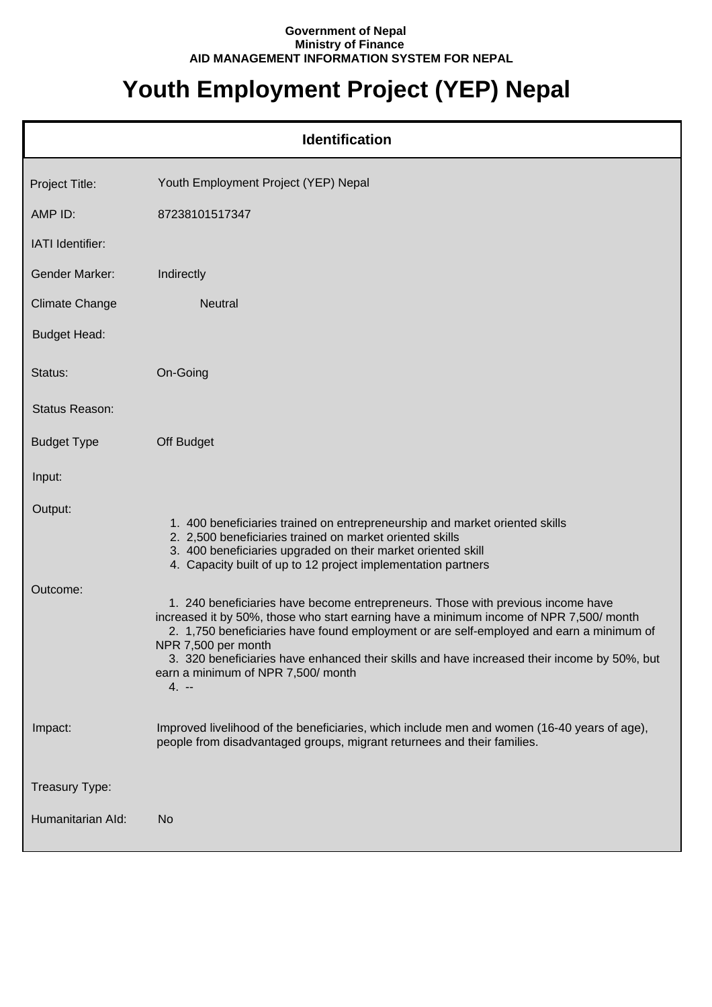## **Government of Nepal Ministry of Finance AID MANAGEMENT INFORMATION SYSTEM FOR NEPAL**

## **Youth Employment Project (YEP) Nepal**

| <b>Identification</b> |                                                                                                                                                                                                                                                                                                                                                                                                                                            |  |
|-----------------------|--------------------------------------------------------------------------------------------------------------------------------------------------------------------------------------------------------------------------------------------------------------------------------------------------------------------------------------------------------------------------------------------------------------------------------------------|--|
| Project Title:        | Youth Employment Project (YEP) Nepal                                                                                                                                                                                                                                                                                                                                                                                                       |  |
| AMP ID:               | 87238101517347                                                                                                                                                                                                                                                                                                                                                                                                                             |  |
| IATI Identifier:      |                                                                                                                                                                                                                                                                                                                                                                                                                                            |  |
| <b>Gender Marker:</b> | Indirectly                                                                                                                                                                                                                                                                                                                                                                                                                                 |  |
| <b>Climate Change</b> | <b>Neutral</b>                                                                                                                                                                                                                                                                                                                                                                                                                             |  |
| <b>Budget Head:</b>   |                                                                                                                                                                                                                                                                                                                                                                                                                                            |  |
| Status:               | On-Going                                                                                                                                                                                                                                                                                                                                                                                                                                   |  |
| Status Reason:        |                                                                                                                                                                                                                                                                                                                                                                                                                                            |  |
| <b>Budget Type</b>    | Off Budget                                                                                                                                                                                                                                                                                                                                                                                                                                 |  |
| Input:                |                                                                                                                                                                                                                                                                                                                                                                                                                                            |  |
| Output:               | 1. 400 beneficiaries trained on entrepreneurship and market oriented skills<br>2. 2,500 beneficiaries trained on market oriented skills<br>3. 400 beneficiaries upgraded on their market oriented skill<br>4. Capacity built of up to 12 project implementation partners                                                                                                                                                                   |  |
| Outcome:              | 1. 240 beneficiaries have become entrepreneurs. Those with previous income have<br>increased it by 50%, those who start earning have a minimum income of NPR 7,500/ month<br>2. 1,750 beneficiaries have found employment or are self-employed and earn a minimum of<br>NPR 7,500 per month<br>3. 320 beneficiaries have enhanced their skills and have increased their income by 50%, but<br>earn a minimum of NPR 7,500/ month<br>$4. -$ |  |
| Impact:               | Improved livelihood of the beneficiaries, which include men and women (16-40 years of age),<br>people from disadvantaged groups, migrant returnees and their families.                                                                                                                                                                                                                                                                     |  |
| Treasury Type:        |                                                                                                                                                                                                                                                                                                                                                                                                                                            |  |
| Humanitarian Ald:     | No                                                                                                                                                                                                                                                                                                                                                                                                                                         |  |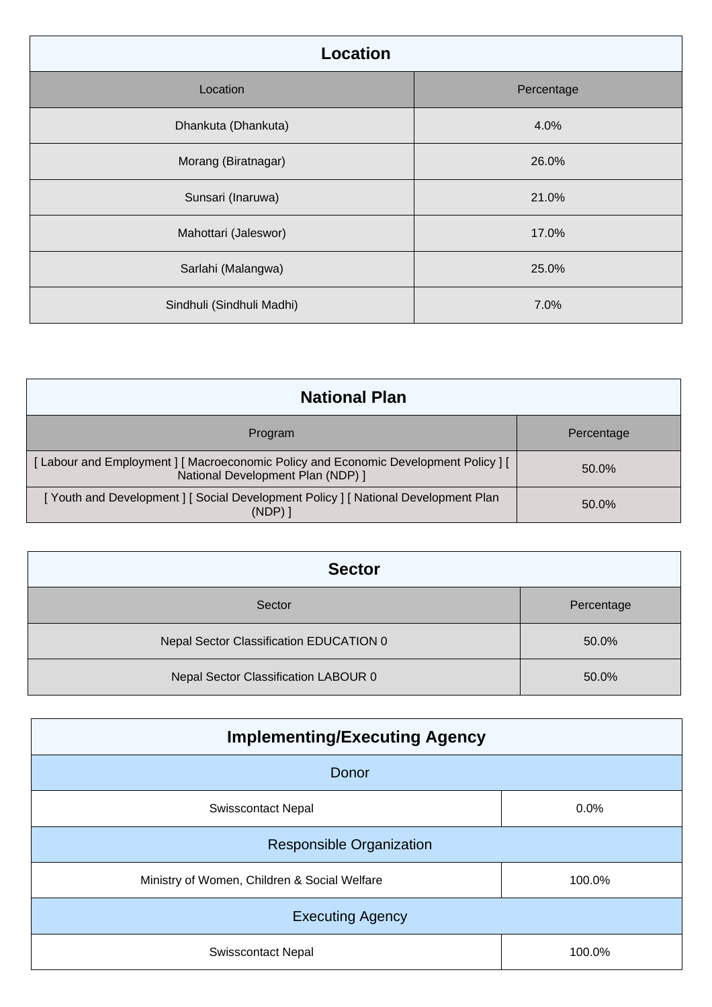| Location                  |            |
|---------------------------|------------|
| Location                  | Percentage |
| Dhankuta (Dhankuta)       | 4.0%       |
| Morang (Biratnagar)       | 26.0%      |
| Sunsari (Inaruwa)         | 21.0%      |
| Mahottari (Jaleswor)      | 17.0%      |
| Sarlahi (Malangwa)        | 25.0%      |
| Sindhuli (Sindhuli Madhi) | 7.0%       |

| <b>National Plan</b>                                                                                                  |            |
|-----------------------------------------------------------------------------------------------------------------------|------------|
| Program                                                                                                               | Percentage |
| [Labour and Employment] [Macroeconomic Policy and Economic Development Policy] [<br>National Development Plan (NDP) ] | 50.0%      |
| [Youth and Development] [Social Development Policy] [National Development Plan<br>$(NDP)$ 1                           | 50.0%      |

| <b>Sector</b>                           |            |
|-----------------------------------------|------------|
| Sector                                  | Percentage |
| Nepal Sector Classification EDUCATION 0 | 50.0%      |
| Nepal Sector Classification LABOUR 0    | 50.0%      |

| <b>Implementing/Executing Agency</b>         |        |  |
|----------------------------------------------|--------|--|
| Donor                                        |        |  |
| <b>Swisscontact Nepal</b>                    | 0.0%   |  |
| <b>Responsible Organization</b>              |        |  |
| Ministry of Women, Children & Social Welfare | 100.0% |  |
| <b>Executing Agency</b>                      |        |  |
| <b>Swisscontact Nepal</b>                    | 100.0% |  |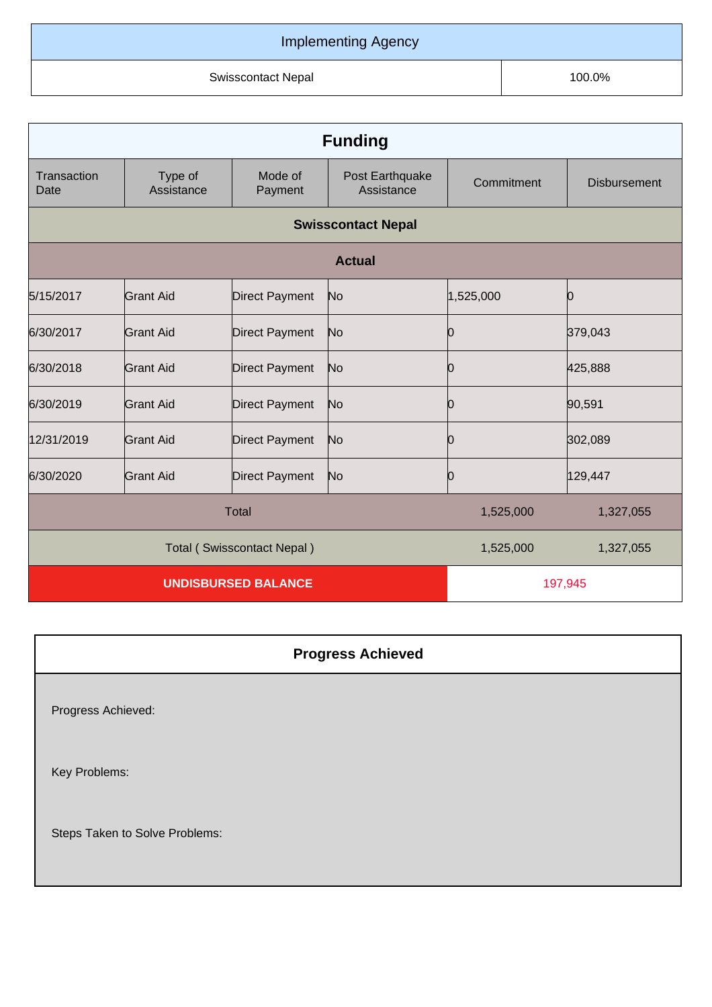## Implementing Agency

Swisscontact Nepal 100.0%

| <b>Funding</b>             |                            |                       |                               |            |                     |
|----------------------------|----------------------------|-----------------------|-------------------------------|------------|---------------------|
| Transaction<br>Date        | Type of<br>Assistance      | Mode of<br>Payment    | Post Earthquake<br>Assistance | Commitment | <b>Disbursement</b> |
|                            |                            |                       | <b>Swisscontact Nepal</b>     |            |                     |
| <b>Actual</b>              |                            |                       |                               |            |                     |
| 5/15/2017                  | <b>Grant Aid</b>           | Direct Payment        | No                            | 1,525,000  | 0                   |
| 6/30/2017                  | <b>Grant Aid</b>           | <b>Direct Payment</b> | No                            | 0          | 379,043             |
| 6/30/2018                  | Grant Aid                  | <b>Direct Payment</b> | No                            | 10         | 425,888             |
| 6/30/2019                  | <b>Grant Aid</b>           | <b>Direct Payment</b> | No                            | O          | 90,591              |
| 12/31/2019                 | <b>Grant Aid</b>           | <b>Direct Payment</b> | No                            | 0          | 302,089             |
| 6/30/2020                  | <b>Grant Aid</b>           | <b>Direct Payment</b> | No                            | 10         | 129,447             |
| <b>Total</b>               |                            |                       | 1,525,000                     | 1,327,055  |                     |
|                            | Total (Swisscontact Nepal) |                       |                               | 1,525,000  | 1,327,055           |
| <b>UNDISBURSED BALANCE</b> |                            |                       | 197,945                       |            |                     |

|                                | <b>Progress Achieved</b> |
|--------------------------------|--------------------------|
| Progress Achieved:             |                          |
| Key Problems:                  |                          |
| Steps Taken to Solve Problems: |                          |